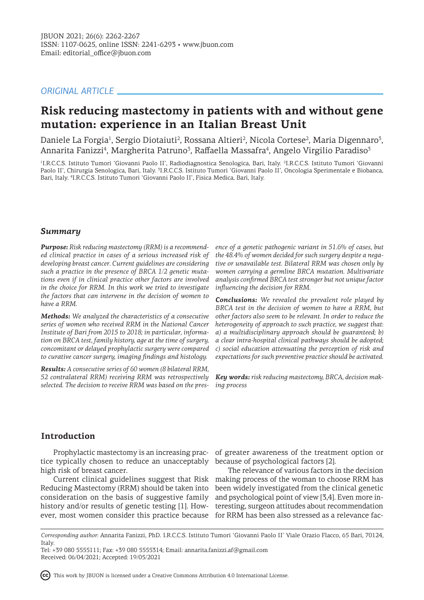# *ORIGINAL ARTICLE*

# **Risk reducing mastectomy in patients with and without gene mutation: experience in an Italian Breast Unit**

Daniele La Forgia<sup>1</sup>, Sergio Diotaiuti<sup>2</sup>, Rossana Altieri<sup>2</sup>, Nicola Cortese<sup>2</sup>, Maria Digennaro<sup>3</sup>, Annarita Fanizzi<sup>4</sup>, Margherita Patruno<sup>3</sup>, Raffaella Massafra<sup>4</sup>, Angelo Virgilio Paradiso<sup>3</sup>

1 I.R.C.C.S. Istituto Tumori 'Giovanni Paolo II', Radiodiagnostica Senologica, Bari, Italy. <sup>2</sup> I.R.C.C.S. Istituto Tumori 'Giovanni Paolo II', Chirurgia Senologica, Bari, Italy. <sup>3</sup>I.R.C.C.S. Istituto Tumori 'Giovanni Paolo II', Oncologia Sperimentale e Biobanca, Bari, Italy. <sup>4</sup> I.R.C.C.S. Istituto Tumori 'Giovanni Paolo II', Fisica Medica, Bari, Italy.

### *Summary*

*Purpose: Risk reducing mastectomy (RRM) is a recommended clinical practice in cases of a serious increased risk of developing breast cancer. Current guidelines are considering such a practice in the presence of BRCA 1/2 genetic mutations even if in clinical practice other factors are involved in the choice for RRM. In this work we tried to investigate the factors that can intervene in the decision of women to have a RRM.*

*Methods: We analyzed the characteristics of a consecutive series of women who received RRM in the National Cancer Institute of Bari from 2015 to 2018; in particular, information on BRCA test, family history, age at the time of surgery, concomitant or delayed prophylactic surgery were compared to curative cancer surgery, imaging findings and histology.* 

*Results: A consecutive series of 60 women (8 bilateral RRM, 52 contralateral RRM) receiving RRM was retrospectively selected. The decision to receive RRM was based on the pres-*

*ence of a genetic pathogenic variant in 51.6% of cases, but the 48.4% of women decided for such surgery despite a negative or unavailable test. Bilateral RRM was chosen only by women carrying a germline BRCA mutation. Multivariate analysis confirmed BRCA test stronger but not unique factor influencing the decision for RRM.*

*Conclusions: We revealed the prevalent role played by BRCA test in the decision of women to have a RRM, but other factors also seem to be relevant. In order to reduce the heterogeneity of approach to such practice, we suggest that: a) a multidisciplinary approach should be guaranteed; b) a clear intra-hospital clinical pathways should be adopted; c) social education attenuating the perception of risk and expectations for such preventive practice should be activated.*

*Key words: risk reducing mastectomy, BRCA, decision making process*

## **Introduction**

tice typically chosen to reduce an unacceptably because of psychological factors [2]. high risk of breast cancer.

Current clinical guidelines suggest that Risk Reducing Mastectomy (RRM) should be taken into consideration on the basis of suggestive family history and/or results of genetic testing [1]. However, most women consider this practice because

Prophylactic mastectomy is an increasing prac-of greater awareness of the treatment option or

The relevance of various factors in the decision making process of the woman to choose RRM has been widely investigated from the clinical genetic and psychological point of view [3,4]. Even more interesting, surgeon attitudes about recommendation for RRM has been also stressed as a relevance fac-

This work by JBUON is licensed under a Creative Commons Attribution 4.0 International License.

*Corresponding author:* Annarita Fanizzi, PhD. I.R.C.C.S. Istituto Tumori 'Giovanni Paolo II' Viale Orazio Flacco, 65 Bari, 70124, Italy.

Tel: +39 080 5555111; Fax: +39 080 5555314; Email: annarita.fanizzi.af@gmail.com Received: 06/04/2021; Accepted: 19/05/2021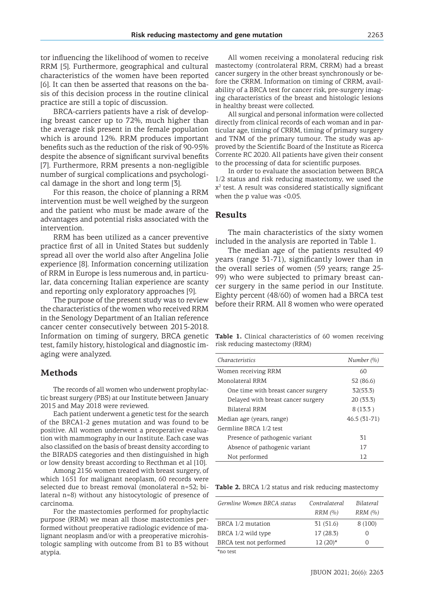tor influencing the likelihood of women to receive RRM [5]. Furthermore, geographical and cultural characteristics of the women have been reported [6]. It can then be asserted that reasons on the basis of this decision process in the routine clinical practice are still a topic of discussion.

BRCA-carriers patients have a risk of developing breast cancer up to 72%, much higher than the average risk present in the female population which is around 12%. RRM produces important benefits such as the reduction of the risk of 90-95% despite the absence of significant survival benefits [7]. Furthermore, RRM presents a non-negligible number of surgical complications and psychological damage in the short and long term [3].

For this reason, the choice of planning a RRM intervention must be well weighed by the surgeon and the patient who must be made aware of the advantages and potential risks associated with the intervention.

RRM has been utilized as a cancer preventive practice first of all in United States but suddenly spread all over the world also after Angelina Jolie experience [8]. Information concerning utilization of RRM in Europe is less numerous and, in particular, data concerning Italian experience are scanty and reporting only exploratory approaches [9].

The purpose of the present study was to review the characteristics of the women who received RRM in the Senology Department of an Italian reference cancer center consecutively between 2015-2018. Information on timing of surgery, BRCA genetic test, family history, histological and diagnostic imaging were analyzed.

## **Methods**

The records of all women who underwent prophylactic breast surgery (PBS) at our Institute between January 2015 and May 2018 were reviewed.

Each patient underwent a genetic test for the search of the BRCA1-2 genes mutation and was found to be positive. All women underwent a preoperative evaluation with mammography in our Institute. Each case was also classified on the basis of breast density according to the BIRADS categories and then distinguished in high or low density breast according to Recthman et al [10].

Among 2156 women treated with breast surgery, of which 1651 for malignant neoplasm, 60 records were selected due to breast removal (monolateral n=52; bilateral n=8) without any histocytologic of presence of carcinoma.

For the mastectomies performed for prophylactic purpose (RRM) we mean all those mastectomies performed without preoperative radiologic evidence of malignant neoplasm and/or with a preoperative microhistologic sampling with outcome from B1 to B3 without atypia.

All women receiving a monolateral reducing risk mastectomy (controlateral RRM, CRRM) had a breast cancer surgery in the other breast synchronously or before the CRRM. Information on timing of CRRM, availability of a BRCA test for cancer risk, pre-surgery imaging characteristics of the breast and histologic lesions in healthy breast were collected.

All surgical and personal information were collected directly from clinical records of each woman and in particular age, timing of CRRM, timing of primary surgery and TNM of the primary tumour. The study was approved by the Scientific Board of the Institute as Ricerca Corrente RC 2020. All patients have given their consent to the processing of data for scientific purposes.

In order to evaluate the association between BRCA 1/2 status and risk reducing mastectomy, we used the  $x<sup>2</sup>$  test. A result was considered statistically significant when the p value was <0.05.

### **Results**

The main characteristics of the sixty women included in the analysis are reported in Table 1.

The median age of the patients resulted 49 years (range 31-71), significantly lower than in the overall series of women (59 years; range 25- 99) who were subjected to primary breast cancer surgery in the same period in our Institute. Eighty percent (48/60) of women had a BRCA test before their RRM. All 8 women who were operated

Table 1. Clinical characteristics of 60 women receiving risk reducing mastectomy (RRM)

| <i>Characteristics</i>              | Number $(\% )$ |
|-------------------------------------|----------------|
| Women receiving RRM                 | 60             |
| Monolateral RRM                     | 52 (86.6)      |
| One time with breast cancer surgery | 32(53.3)       |
| Delayed with breast cancer surgery  | 20 (33.3)      |
| Bilateral RRM                       | 8(13.3)        |
| Median age (years, range)           | $46.5(31-71)$  |
| Germline BRCA 1/2 test              |                |
| Presence of pathogenic variant      | 31             |
| Absence of pathogenic variant       | 17             |
| Not performed                       | 12             |

**Table 2.** BRCA 1/2 status and risk reducing mastectomy

| Germline Women BRCA status | Contralateral | Bilateral        |  |
|----------------------------|---------------|------------------|--|
|                            | RRM(%)        | RRM(%)           |  |
| BRCA 1/2 mutation          | 31(51.6)      | 8(100)           |  |
| BRCA 1/2 wild type         | 17(28.3)      | $\left( \right)$ |  |
| BRCA test not performed    | $12(20)*$     | $\left( \right)$ |  |
| $*no$ toot                 |               |                  |  |

\*no test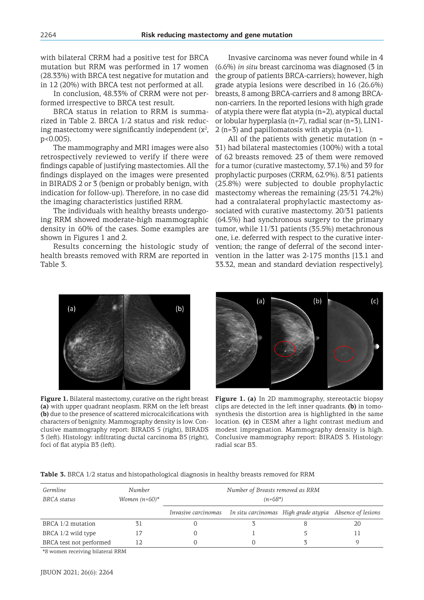with bilateral CRRM had a positive test for BRCA mutation but RRM was performed in 17 women (28.33%) with BRCA test negative for mutation and in 12 (20%) with BRCA test not performed at all.

In conclusion, 48.33% of CRRM were not performed irrespective to BRCA test result.

BRCA status in relation to RRM is summarized in Table 2. BRCA 1/2 status and risk reducing mastectomy were significantly independent  $(x^2)$ , p<0.005).

The mammography and MRI images were also retrospectively reviewed to verify if there were findings capable of justifying mastectomies. All the findings displayed on the images were presented in BIRADS 2 or 3 (benign or probably benign, with indication for follow-up). Therefore, in no case did the imaging characteristics justified RRM.

The individuals with healthy breasts undergoing RRM showed moderate-high mammographic density in 60% of the cases. Some examples are shown in Figures 1 and 2.

Results concerning the histologic study of health breasts removed with RRM are reported in Table 3.

Invasive carcinoma was never found while in 4 (6.6%) *in situ* breast carcinoma was diagnosed (3 in the group of patients BRCA-carriers); however, high grade atypia lesions were described in 16 (26.6%) breasts, 8 among BRCA-carriers and 8 among BRCAnon-carriers. In the reported lesions with high grade of atypia there were flat atypia (n=2), atypical ductal or lobular hyperplasia (n=7), radial scar (n=3), LIN1- 2 (n=3) and papillomatosis with atypia (n=1).

All of the patients with genetic mutation  $(n =$ 31) had bilateral mastectomies (100%) with a total of 62 breasts removed: 23 of them were removed for a tumor (curative mastectomy, 37.1%) and 39 for prophylactic purposes (CRRM, 62.9%). 8/31 patients (25.8%) were subjected to double prophylactic mastectomy whereas the remaining (23/31 74.2%) had a contralateral prophylactic mastectomy associated with curative mastectomy. 20/31 patients (64.5%) had synchronous surgery to the primary tumor, while 11/31 patients (35.5%) metachronous one, i.e. deferred with respect to the curative intervention; the range of deferral of the second intervention in the latter was 2-175 months [13.1 and 33.32, mean and standard deviation respectively].



**Figure 1.** Bilateral mastectomy, curative on the right breast **(a)** with upper quadrant neoplasm. RRM on the left breast **(b)** due to the presence of scattered microcalcifications with characters of benignity. Mammography density is low. Conclusive mammography report: BIRADS 5 (right), BIRADS 3 (left). Histology: infiltrating ductal carcinoma B5 (right), foci of flat atypia B3 (left).



**Figure 1. (a)** In 2D mammography, stereotactic biopsy clips are detected in the left inner quadrants. **(b)** in tomosynthesis the distortion area is highlighted in the same location. **(c)** in CESM after a light contrast medium and modest impregnation. Mammography density is high. Conclusive mammography report: BIRADS 3. Histology: radial scar B3.

|  |  |  | Table 3. BRCA 1/2 status and histopathological diagnosis in healthy breasts removed for RRM |
|--|--|--|---------------------------------------------------------------------------------------------|
|  |  |  |                                                                                             |

| Germline<br>BRCA status | Number<br>Women $(n=60)^*$ | Number of Breasts removed as RRM<br>$(n=68*)$                               |  |  |    |  |
|-------------------------|----------------------------|-----------------------------------------------------------------------------|--|--|----|--|
|                         |                            | Invasive carcinomas In situ carcinomas High grade atypia Absence of lesions |  |  |    |  |
| BRCA 1/2 mutation       | 31                         |                                                                             |  |  | 20 |  |
| BRCA 1/2 wild type      |                            |                                                                             |  |  |    |  |
| BRCA test not performed | 12.                        |                                                                             |  |  |    |  |

\*8 women receiving bilateral RRM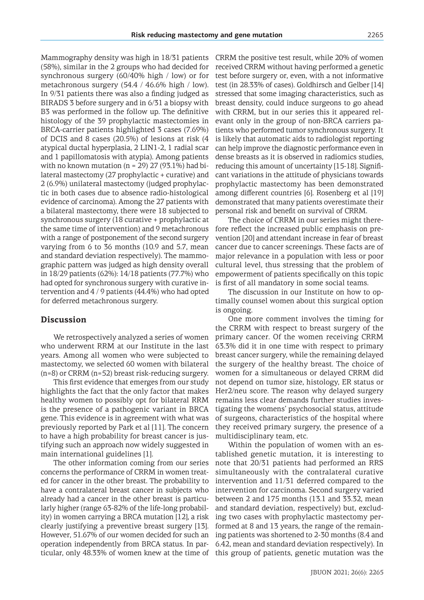Mammography density was high in 18/31 patients (58%), similar in the 2 groups who had decided for synchronous surgery (60/40% high / low) or for metachronous surgery (54.4 / 46.6% high / low). In 9/31 patients there was also a finding judged as BIRADS 3 before surgery and in 6/31 a biopsy with B3 was performed in the follow up. The definitive histology of the 39 prophylactic mastectomies in BRCA-carrier patients highlighted 3 cases (7.69%) of DCIS and 8 cases (20.5%) of lesions at risk (4 atypical ductal hyperplasia, 2 LIN1-2, 1 radial scar and 1 papillomatosis with atypia). Among patients with no known mutation ( $n = 29$ ) 27 (93.1%) had bilateral mastectomy (27 prophylactic + curative) and 2 (6.9%) unilateral mastectomy (judged prophylactic in both cases due to absence radio-histological evidence of carcinoma). Among the 27 patients with a bilateral mastectomy, there were 18 subjected to synchronous surgery (18 curative + prophylactic at the same time of intervention) and 9 metachronous with a range of postponement of the second surgery varying from 6 to 36 months (10.9 and 5.7, mean and standard deviation respectively). The mammographic pattern was judged as high density overall in 18/29 patients (62%): 14/18 patients (77.7%) who had opted for synchronous surgery with curative intervention and 4 / 9 patients (44.4%) who had opted for deferred metachronous surgery.

#### **Discussion**

We retrospectively analyzed a series of women who underwent RRM at our Institute in the last years. Among all women who were subjected to mastectomy, we selected 60 women with bilateral (n=8) or CRRM (n=52) breast risk-reducing surgery.

This first evidence that emerges from our study highlights the fact that the only factor that makes healthy women to possibly opt for bilateral RRM is the presence of a pathogenic variant in BRCA gene. This evidence is in agreement with what was previously reported by Park et al [11]. The concern to have a high probability for breast cancer is justifying such an approach now widely suggested in main international guidelines [1].

The other information coming from our series concerns the performance of CRRM in women treated for cancer in the other breast. The probability to have a contralateral breast cancer in subjects who already had a cancer in the other breast is particularly higher (range 63-82% of the life-long probability) in women carrying a BRCA mutation [12], a risk clearly justifying a preventive breast surgery [13]. However, 51.67% of our women decided for such an operation independently from BRCA status. In parCRRM the positive test result, while 20% of women received CRRM without having performed a genetic test before surgery or, even, with a not informative test (in 28.33% of cases). Goldhirsch and Gelber [14] stressed that some imaging characteristics, such as breast density, could induce surgeons to go ahead with CRRM, but in our series this it appeared relevant only in the group of non-BRCA carriers patients who performed tumor synchronous surgery. It is likely that automatic aids to radiologist reporting can help improve the diagnostic performance even in dense breasts as it is observed in radiomics studies, reducing this amount of uncertainty [15-18]. Significant variations in the attitude of physicians towards prophylactic mastectomy has been demonstrated among different countries [6]. Rosenberg et al [19] demonstrated that many patients overestimate their personal risk and benefit on survival of CRRM.

The choice of CRRM in our series might therefore reflect the increased public emphasis on prevention [20] and attendant increase in fear of breast cancer due to cancer screenings. These facts are of major relevance in a population with less or poor cultural level, thus stressing that the problem of empowerment of patients specifically on this topic is first of all mandatory in some social teams.

The discussion in our Institute on how to optimally counsel women about this surgical option is ongoing.

One more comment involves the timing for the CRRM with respect to breast surgery of the primary cancer. Of the women receiving CRRM 63.3% did it in one time with respect to primary breast cancer surgery, while the remaining delayed the surgery of the healthy breast. The choice of women for a simultaneous or delayed CRRM did not depend on tumor size, histology, ER status or Her2/neu score. The reason why delayed surgery remains less clear demands further studies investigating the womens' psychosocial status, attitude of surgeons, characteristics of the hospital where they received primary surgery, the presence of a multidisciplinary team, etc.

ticular, only 48.33% of women knew at the time of this group of patients, genetic mutation was the Within the population of women with an established genetic mutation, it is interesting to note that 20/31 patients had performed an RRS simultaneously with the contralateral curative intervention and 11/31 deferred compared to the intervention for carcinoma. Second surgery varied between 2 and 175 months (13.1 and 33.32, mean and standard deviation, respectively) but, excluding two cases with prophylactic mastectomy performed at 8 and 13 years, the range of the remaining patients was shortened to 2-30 months (8.4 and 6.42, mean and standard deviation respectively). In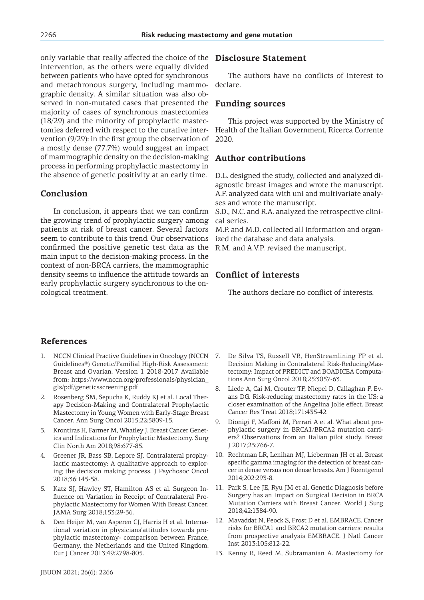only variable that really affected the choice of the intervention, as the others were equally divided between patients who have opted for synchronous and metachronous surgery, including mammographic density. A similar situation was also observed in non-mutated cases that presented the majority of cases of synchronous mastectomies (18/29) and the minority of prophylactic mastectomies deferred with respect to the curative intervention (9/29): in the first group the observation of a mostly dense (77.7%) would suggest an impact of mammographic density on the decision-making process in performing prophylactic mastectomy in the absence of genetic positivity at an early time.

# **Conclusion**

In conclusion, it appears that we can confirm the growing trend of prophylactic surgery among patients at risk of breast cancer. Several factors seem to contribute to this trend. Our observations confirmed the positive genetic test data as the main input to the decision-making process. In the context of non-BRCA carriers, the mammographic density seems to influence the attitude towards an early prophylactic surgery synchronous to the oncological treatment.

# **Disclosure Statement**

The authors have no conflicts of interest to declare.

# **Funding sources**

This project was supported by the Ministry of Health of the Italian Government, Ricerca Corrente 2020.

# **Author contributions**

D.L. designed the study, collected and analyzed diagnostic breast images and wrote the manuscript. A.F. analyzed data with uni and multivariate analyses and wrote the manuscript.

S.D., N.C. and R.A. analyzed the retrospective clinical series.

M.P. and M.D. collected all information and organized the database and data analysis.

R.M. and A.V.P. revised the manuscript.

# **Conflict of interests**

The authors declare no conflict of interests.

# **References**

- 1. NCCN Clinical Practive Guidelines in Oncology (NCCN 7. Guidelines®) Genetic/Familial High-Risk Assessment: Breast and Ovarian. Version 1 2018-2017 Available from: https://www.nccn.org/professionals/physician\_ gls/pdf/geneticsscreening.pdf
- 2. Rosenberg SM, Sepucha K, Ruddy KJ et al. Local Therapy Decision-Making and Contralateral Prophylactic Mastectomy in Young Women with Early-Stage Breast Cancer. Ann Surg Oncol 2015;22:3809-15.
- 3. Krontiras H, Farmer M, Whatley J. Breast Cancer Genetics and Indications for Prophylactic Mastectomy. Surg Clin North Am 2018;98:677-85.
- 4. Greener JR, Bass SB, Lepore SJ. Contralateral prophylactic mastectomy: A qualitative approach to exploring the decision making process. J Psychosoc Oncol 2018;36:145-58.
- 5. Katz SJ, Hawley ST, Hamilton AS et al. Surgeon Influence on Variation in Receipt of Contralateral Prophylactic Mastectomy for Women With Breast Cancer. JAMA Surg 2018;153:29-36.
- 6. Den Heijer M, van Asperen CJ, Harris H et al. International variation in physicians'attitudes towards prophylactic mastectomy- comparison between France, Germany, the Netherlands and the United Kingdom. Eur J Cancer 2013;49:2798-805.
- 7. De Silva TS, Russell VR, HenStreamlining FP et al. Decision Making in Contralateral Risk-ReducingMastectomy: Impact of PREDICT and BOADICEA Computations.Ann Surg Oncol 2018;25:3057-63.
- 8. Liede A, Cai M, Crouter TF, Niepel D, Callaghan F, Evans DG. Risk-reducing mastectomy rates in the US: a closer examination of the Angelina Jolie effect. Breast Cancer Res Treat 2018;171:435-42.
- 9. Dionigi F, Maffoni M, Ferrari A et al. What about prophylactic surgery in BRCA1/BRCA2 mutation carriers? Observations from an Italian pilot study. Breast J 2017;23:766-7.
- 10. Rechtman LR, Lenihan MJ, Lieberman JH et al. Breast specific gamma imaging for the detection of breast cancer in dense versus non dense breasts. Am J Roentgenol 2014;202:293-8.
- 11. Park S, Lee JE, Ryu JM et al. Genetic Diagnosis before Surgery has an Impact on Surgical Decision in BRCA Mutation Carriers with Breast Cancer. World J Surg 2018;42:1384-90.
- 12. Mavaddat N, Peock S, Frost D et al. EMBRACE. Cancer risks for BRCA1 and BRCA2 mutation carriers: results from prospective analysis EMBRACE. J Natl Cancer Inst 2013;105:812-22.
- 13. Kenny R, Reed M, Subramanian A. Mastectomy for